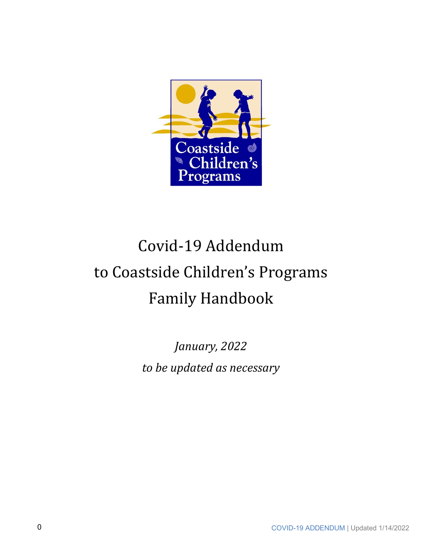

# Covid-19 Addendum to Coastside Children's Programs Family Handbook

January, 2022 *to be updated as necessary*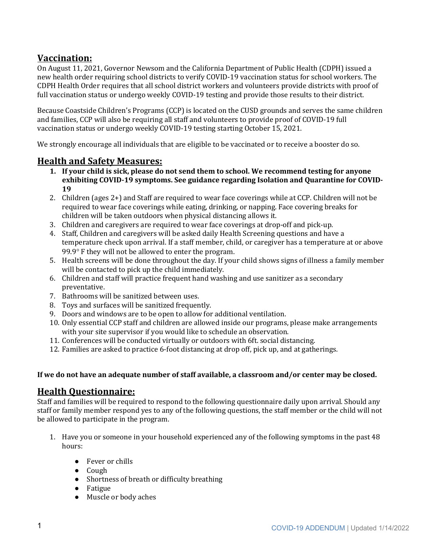# **Vaccination:**

On August 11, 2021, Governor Newsom and the California Department of Public Health (CDPH) issued a new health order requiring school districts to verify COVID-19 vaccination status for school workers. The CDPH Health Order requires that all school district workers and volunteers provide districts with proof of full vaccination status or undergo weekly COVID-19 testing and provide those results to their district.

Because Coastside Children's Programs (CCP) is located on the CUSD grounds and serves the same children and families, CCP will also be requiring all staff and volunteers to provide proof of COVID-19 full vaccination status or undergo weekly COVID-19 testing starting October 15, 2021.

We strongly encourage all individuals that are eligible to be vaccinated or to receive a booster do so.

## **Health and Safety Measures:**

- 1. If your child is sick, please do not send them to school. We recommend testing for anyone exhibiting COVID-19 symptoms. See guidance regarding Isolation and Quarantine for COVID-**19**
- 2. Children (ages 2+) and Staff are required to wear face coverings while at CCP. Children will not be required to wear face coverings while eating, drinking, or napping. Face covering breaks for children will be taken outdoors when physical distancing allows it.
- 3. Children and caregivers are required to wear face coverings at drop-off and pick-up.
- 4. Staff, Children and caregivers will be asked daily Health Screening questions and have a temperature check upon arrival. If a staff member, child, or caregiver has a temperature at or above 99.9 $\degree$  F they will not be allowed to enter the program.
- 5. Health screens will be done throughout the day. If your child shows signs of illness a family member will be contacted to pick up the child immediately.
- 6. Children and staff will practice frequent hand washing and use sanitizer as a secondary preventative.
- 7. Bathrooms will be sanitized between uses.
- 8. Toys and surfaces will be sanitized frequently.
- 9. Doors and windows are to be open to allow for additional ventilation.
- 10. Only essential CCP staff and children are allowed inside our programs, please make arrangements with your site supervisor if you would like to schedule an observation.
- 11. Conferences will be conducted virtually or outdoors with 6ft. social distancing.
- 12. Families are asked to practice 6-foot distancing at drop off, pick up, and at gatherings.

#### If we do not have an adequate number of staff available, a classroom and/or center may be closed.

# **Health Questionnaire:**

Staff and families will be required to respond to the following questionnaire daily upon arrival. Should any staff or family member respond yes to any of the following questions, the staff member or the child will not be allowed to participate in the program.

- 1. Have you or someone in your household experienced any of the following symptoms in the past 48 hours:
	- Fever or chills
	- Cough
	- Shortness of breath or difficulty breathing
	- Fatigue
	- Muscle or body aches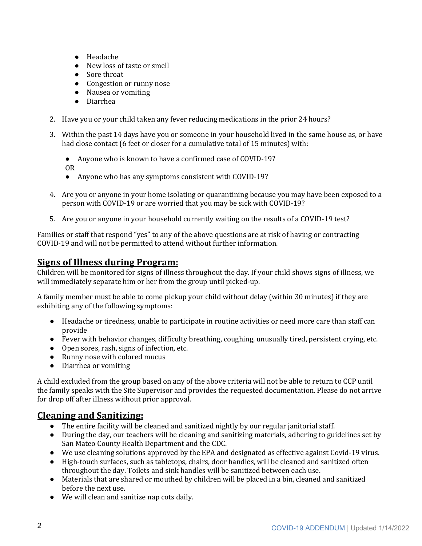- Headache
- New loss of taste or smell
- Sore throat
- Congestion or runny nose
- Nausea or vomiting
- Diarrhea
- 2. Have you or your child taken any fever reducing medications in the prior 24 hours?
- 3. Within the past 14 days have you or someone in your household lived in the same house as, or have had close contact (6 feet or closer for a cumulative total of 15 minutes) with:
	- Anyone who is known to have a confirmed case of COVID-19?
	- OR
	- Anyone who has any symptoms consistent with COVID-19?
- 4. Are you or anyone in your home isolating or quarantining because you may have been exposed to a person with COVID-19 or are worried that you may be sick with COVID-19?
- 5. Are you or anyone in your household currently waiting on the results of a COVID-19 test?

Families or staff that respond "yes" to any of the above questions are at risk of having or contracting COVID-19 and will not be permitted to attend without further information.

## **<u>Signs of Illness during Program:</u>**

Children will be monitored for signs of illness throughout the day. If your child shows signs of illness, we will immediately separate him or her from the group until picked-up.

A family member must be able to come pickup your child without delay (within 30 minutes) if they are exhibiting any of the following symptoms:

- Headache or tiredness, unable to participate in routine activities or need more care than staff can provide
- Fever with behavior changes, difficulty breathing, coughing, unusually tired, persistent crying, etc.
- Open sores, rash, signs of infection, etc.
- Runny nose with colored mucus
- Diarrhea or vomiting

A child excluded from the group based on any of the above criteria will not be able to return to CCP until the family speaks with the Site Supervisor and provides the requested documentation. Please do not arrive for drop off after illness without prior approval.

# **Cleaning and Sanitizing:**

- The entire facility will be cleaned and sanitized nightly by our regular janitorial staff.
- During the day, our teachers will be cleaning and sanitizing materials, adhering to guidelines set by San Mateo County Health Department and the CDC.
- We use cleaning solutions approved by the EPA and designated as effective against Covid-19 virus.
- High-touch surfaces, such as tabletops, chairs, door handles, will be cleaned and sanitized often throughout the day. Toilets and sink handles will be sanitized between each use.
- Materials that are shared or mouthed by children will be placed in a bin, cleaned and sanitized before the next use.
- We will clean and sanitize nap cots daily.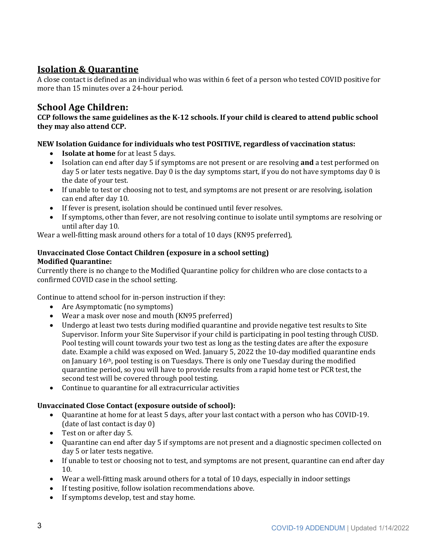# **Isolation & Quarantine**

A close contact is defined as an individual who was within 6 feet of a person who tested COVID positive for more than 15 minutes over a 24-hour period.

# **School Age Children:**

CCP follows the same guidelines as the K-12 schools. If your child is cleared to attend public school **they may also attend CCP.**

#### NEW Isolation Guidance for individuals who test POSITIVE, regardless of vaccination status:

- **Isolate at home** for at least 5 days.
- Isolation can end after day 5 if symptoms are not present or are resolving **and** a test performed on day 5 or later tests negative. Day 0 is the day symptoms start, if you do not have symptoms day 0 is the date of your test.
- If unable to test or choosing not to test, and symptoms are not present or are resolving, isolation can end after day 10.
- If fever is present, isolation should be continued until fever resolves.
- If symptoms, other than fever, are not resolving continue to isolate until symptoms are resolving or until after day 10.

Wear a well-fitting mask around others for a total of 10 days (KN95 preferred),

#### **Unvaccinated Close Contact Children (exposure in a school setting) Modified Quarantine:**

Currently there is no change to the Modified Quarantine policy for children who are close contacts to a confirmed COVID case in the school setting.

Continue to attend school for in-person instruction if they:

- Are Asymptomatic (no symptoms)
- Wear a mask over nose and mouth (KN95 preferred)
- Undergo at least two tests during modified quarantine and provide negative test results to Site Supervisor. Inform your Site Supervisor if your child is participating in pool testing through CUSD. Pool testing will count towards your two test as long as the testing dates are after the exposure date. Example a child was exposed on Wed. January 5, 2022 the 10-day modified quarantine ends on January 16<sup>th</sup>, pool testing is on Tuesdays. There is only one Tuesday during the modified quarantine period, so you will have to provide results from a rapid home test or PCR test, the second test will be covered through pool testing.
- $\bullet$  Continue to quarantine for all extracurricular activities

#### **Unvaccinated Close Contact (exposure outside of school):**

- Ouarantine at home for at least 5 days, after your last contact with a person who has COVID-19.  $(data of last contact is day 0)$
- Test on or after day 5.
- Quarantine can end after day 5 if symptoms are not present and a diagnostic specimen collected on day 5 or later tests negative.
- If unable to test or choosing not to test, and symptoms are not present, quarantine can end after day 10.
- Wear a well-fitting mask around others for a total of 10 days, especially in indoor settings
- If testing positive, follow isolation recommendations above.
- If symptoms develop, test and stay home.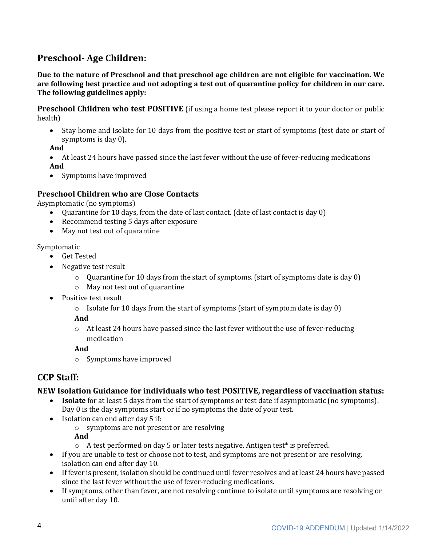# **Preschool- Age Children:**

Due to the nature of Preschool and that preschool age children are not eligible for vaccination. We are following best practice and not adopting a test out of quarantine policy for children in our care. The following guidelines apply:

**Preschool Children who test POSITIVE** (if using a home test please report it to your doctor or public health)

• Stay home and Isolate for 10 days from the positive test or start of symptoms (test date or start of symptoms is day  $0$ ).

**And**

- At least 24 hours have passed since the last fever without the use of fever-reducing medications **And**
- Symptoms have improved

#### **Preschool Children who are Close Contacts**

Asymptomatic (no symptoms)

- Quarantine for 10 days, from the date of last contact. (date of last contact is day 0)
- Recommend testing 5 days after exposure
- May not test out of quarantine

Symptomatic

- Get Tested
- Negative test result
	- $\circ$  Quarantine for 10 days from the start of symptoms. (start of symptoms date is day 0)
	- $\circ$  May not test out of quarantine
- Positive test result
	- $\circ$  Isolate for 10 days from the start of symptoms (start of symptom date is day 0)

**And**

 $\circ$  At least 24 hours have passed since the last fever without the use of fever-reducing medication

**And**

 $\circ$  Symptoms have improved

# **CCP Staff:**

#### **NEW Isolation Guidance for individuals who test POSITIVE, regardless of vaccination status:**

- **Isolate** for at least 5 days from the start of symptoms or test date if asymptomatic (no symptoms). Day 0 is the day symptoms start or if no symptoms the date of your test.
- Isolation can end after day 5 if:
	- o symptoms are not present or are resolving

**And**

- $\circ$  A test performed on day 5 or later tests negative. Antigen test<sup>\*</sup> is preferred.
- If you are unable to test or choose not to test, and symptoms are not present or are resolving, isolation can end after day 10.
- If fever is present, isolation should be continued until fever resolves and at least 24 hours have passed since the last fever without the use of fever-reducing medications.
- If symptoms, other than fever, are not resolving continue to isolate until symptoms are resolving or until after day 10.